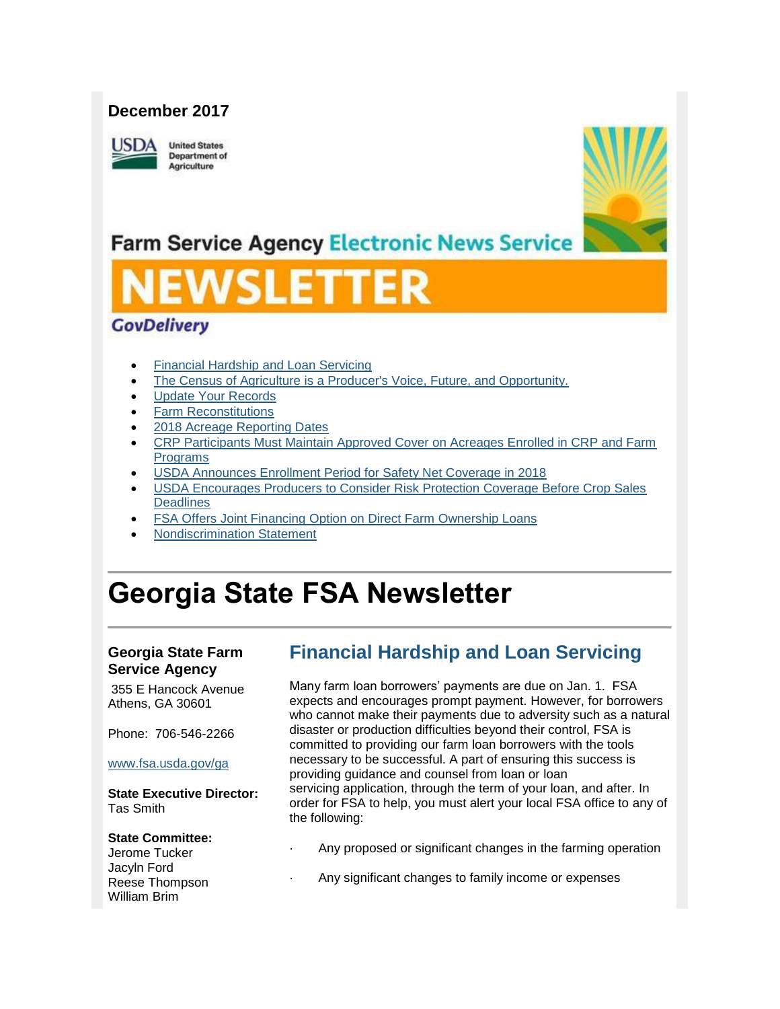#### **December 2017**

USDA

**United States Department of** Agriculture



# **Farm Service Agency Electronic News Service**

# SLE

#### **GovDelivery**

- [Financial Hardship and Loan Servicing](#page-0-0)
- [The Census of Agriculture is a Producer's Voice, Future, and Opportunity.](#page-1-0)
- [Update Your Records](#page-1-1)
- [Farm Reconstitutions](#page-2-0)
- [2018 Acreage Reporting Dates](#page-2-1)
- [CRP Participants Must Maintain Approved Cover on Acreages Enrolled in CRP and Farm](#page-3-0)  [Programs](#page-3-0)
- [USDA Announces Enrollment Period for Safety Net Coverage in 2018](#page-3-1)
- [USDA Encourages Producers to Consider Risk Protection Coverage Before Crop Sales](#page-4-0)  **[Deadlines](#page-4-0)**
- [FSA Offers Joint Financing Option on Direct Farm Ownership Loans](#page-5-0)
- [Nondiscrimination Statement](#page-5-1)

# **Georgia State FSA Newsletter**

#### **Georgia State Farm Service Agency**

355 E Hancock Avenue Athens, GA 30601

Phone: 706-546-2266

#### [www.fsa.usda.gov/ga](http://www.fsa.usda.gov/ga)

**State Executive Director:** Tas Smith

#### **State Committee:**

Jerome Tucker Jacyln Ford Reese Thompson William Brim

# <span id="page-0-0"></span>**Financial Hardship and Loan Servicing**

Many farm loan borrowers' payments are due on Jan. 1. FSA expects and encourages prompt payment. However, for borrowers who cannot make their payments due to adversity such as a natural disaster or production difficulties beyond their control, FSA is committed to providing our farm loan borrowers with the tools necessary to be successful. A part of ensuring this success is providing guidance and counsel from loan or loan servicing application, through the term of your loan, and after. In order for FSA to help, you must alert your local FSA office to any of the following:

- Any proposed or significant changes in the farming operation
- Any significant changes to family income or expenses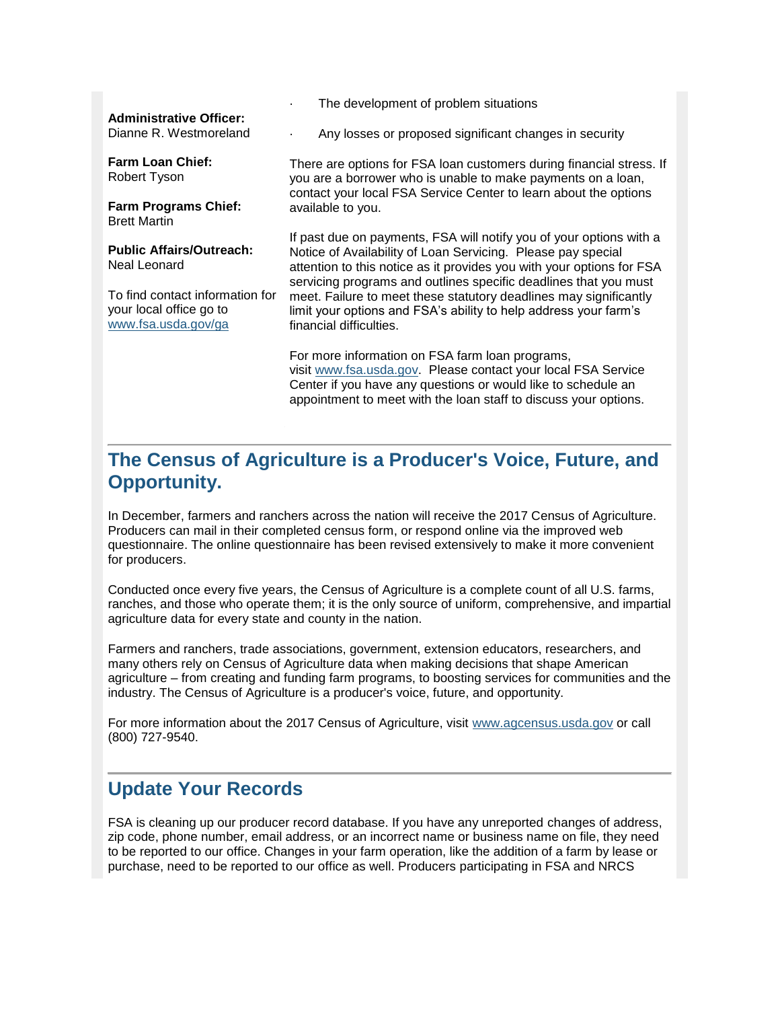#### **Administrative Officer:**

Dianne R. Westmoreland

**Farm Loan Chief:** Robert Tyson

**Farm Programs Chief:** Brett Martin

**Public Affairs/Outreach:** Neal Leonard

To find contact information for your local office go to [www.fsa.usda.gov/ga](http://www.fsa.usda.gov/ga)

The development of problem situations

Any losses or proposed significant changes in security

There are options for FSA loan customers during financial stress. If you are a borrower who is unable to make payments on a loan, contact your local FSA Service Center to learn about the options available to you.

If past due on payments, FSA will notify you of your options with a Notice of Availability of Loan Servicing. Please pay special attention to this notice as it provides you with your options for FSA servicing programs and outlines specific deadlines that you must meet. Failure to meet these statutory deadlines may significantly limit your options and FSA's ability to help address your farm's financial difficulties.

For more information on FSA farm loan programs, visit [www.fsa.usda.gov.](http://www.fsa.usda.gov/) Please contact your local FSA Service Center if you have any questions or would like to schedule an appointment to meet with the loan staff to discuss your options.

## <span id="page-1-0"></span>**The Census of Agriculture is a Producer's Voice, Future, and Opportunity.**

In December, farmers and ranchers across the nation will receive the 2017 Census of Agriculture. Producers can mail in their completed census form, or respond online via the improved web questionnaire. The online questionnaire has been revised extensively to make it more convenient for producers.

Conducted once every five years, the Census of Agriculture is a complete count of all U.S. farms, ranches, and those who operate them; it is the only source of uniform, comprehensive, and impartial agriculture data for every state and county in the nation.

Farmers and ranchers, trade associations, government, extension educators, researchers, and many others rely on Census of Agriculture data when making decisions that shape American agriculture – from creating and funding farm programs, to boosting services for communities and the industry. The Census of Agriculture is a producer's voice, future, and opportunity.

For more information about the 2017 Census of Agriculture, visit [www.agcensus.usda.gov](http://www.agcensus.usda.gov/) or call (800) 727-9540.

#### <span id="page-1-1"></span>**Update Your Records**

FSA is cleaning up our producer record database. If you have any unreported changes of address, zip code, phone number, email address, or an incorrect name or business name on file, they need to be reported to our office. Changes in your farm operation, like the addition of a farm by lease or purchase, need to be reported to our office as well. Producers participating in FSA and NRCS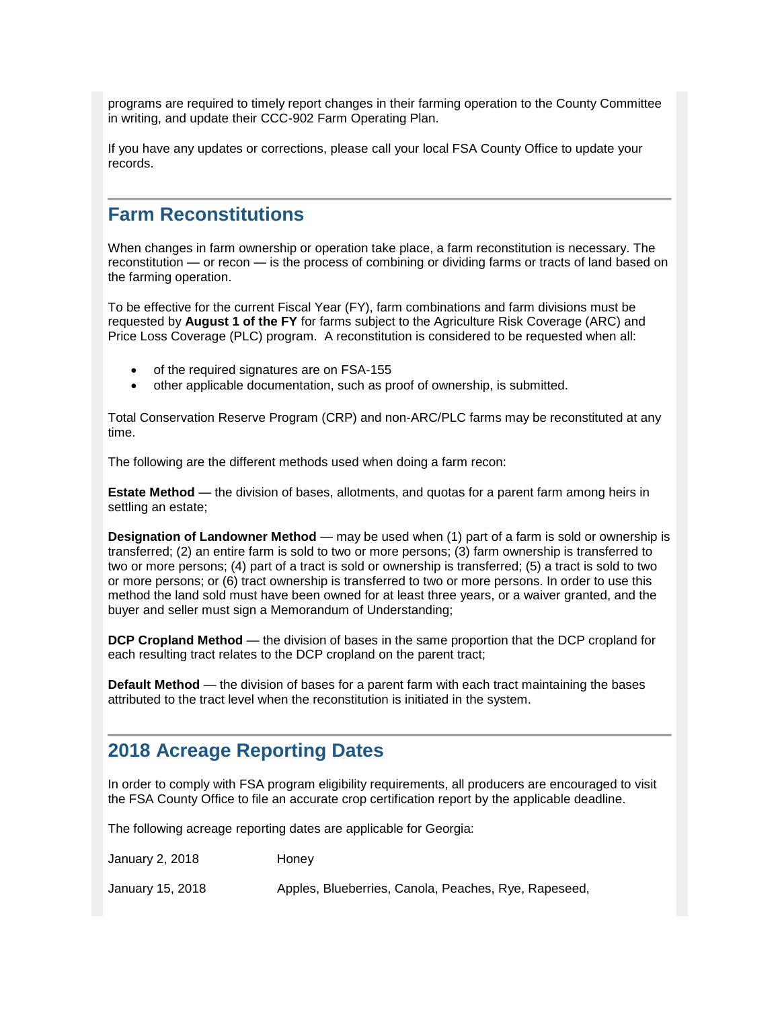programs are required to timely report changes in their farming operation to the County Committee in writing, and update their CCC-902 Farm Operating Plan.

If you have any updates or corrections, please call your local FSA County Office to update your records.

#### <span id="page-2-0"></span>**Farm Reconstitutions**

When changes in farm ownership or operation take place, a farm reconstitution is necessary. The reconstitution — or recon — is the process of combining or dividing farms or tracts of land based on the farming operation.

To be effective for the current Fiscal Year (FY), farm combinations and farm divisions must be requested by **August 1 of the FY** for farms subject to the Agriculture Risk Coverage (ARC) and Price Loss Coverage (PLC) program. A reconstitution is considered to be requested when all:

- of the required signatures are on FSA-155
- other applicable documentation, such as proof of ownership, is submitted.

Total Conservation Reserve Program (CRP) and non-ARC/PLC farms may be reconstituted at any time.

The following are the different methods used when doing a farm recon:

**Estate Method** — the division of bases, allotments, and quotas for a parent farm among heirs in settling an estate;

**Designation of Landowner Method** — may be used when (1) part of a farm is sold or ownership is transferred; (2) an entire farm is sold to two or more persons; (3) farm ownership is transferred to two or more persons; (4) part of a tract is sold or ownership is transferred; (5) a tract is sold to two or more persons; or (6) tract ownership is transferred to two or more persons. In order to use this method the land sold must have been owned for at least three years, or a waiver granted, and the buyer and seller must sign a Memorandum of Understanding;

**DCP Cropland Method** — the division of bases in the same proportion that the DCP cropland for each resulting tract relates to the DCP cropland on the parent tract;

**Default Method** — the division of bases for a parent farm with each tract maintaining the bases attributed to the tract level when the reconstitution is initiated in the system.

#### <span id="page-2-1"></span>**2018 Acreage Reporting Dates**

In order to comply with FSA program eligibility requirements, all producers are encouraged to visit the FSA County Office to file an accurate crop certification report by the applicable deadline.

The following acreage reporting dates are applicable for Georgia:

January 2, 2018 Honey

January 15, 2018 Apples, Blueberries, Canola, Peaches, Rye, Rapeseed,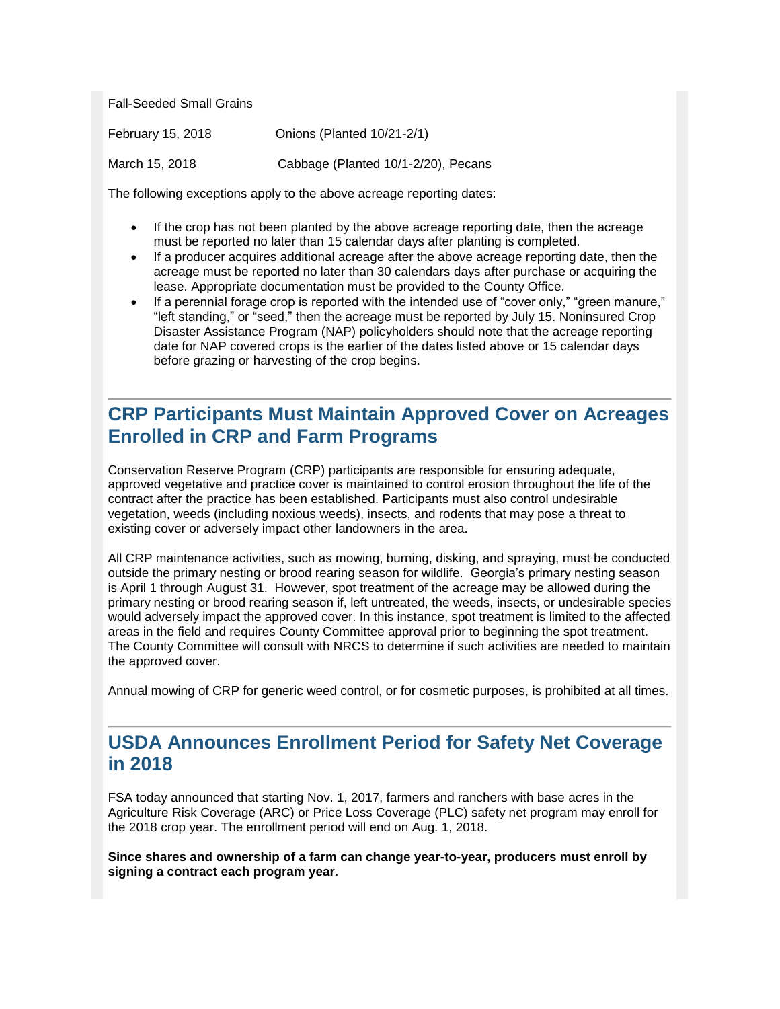Fall-Seeded Small Grains

| February 15, 2018 | Onions (Planted 10/21-2/1)          |
|-------------------|-------------------------------------|
| March 15, 2018    | Cabbage (Planted 10/1-2/20), Pecans |

The following exceptions apply to the above acreage reporting dates:

- If the crop has not been planted by the above acreage reporting date, then the acreage must be reported no later than 15 calendar days after planting is completed.
- If a producer acquires additional acreage after the above acreage reporting date, then the acreage must be reported no later than 30 calendars days after purchase or acquiring the lease. Appropriate documentation must be provided to the County Office.
- If a perennial forage crop is reported with the intended use of "cover only," "green manure," "left standing," or "seed," then the acreage must be reported by July 15. Noninsured Crop Disaster Assistance Program (NAP) policyholders should note that the acreage reporting date for NAP covered crops is the earlier of the dates listed above or 15 calendar days before grazing or harvesting of the crop begins.

### <span id="page-3-0"></span>**CRP Participants Must Maintain Approved Cover on Acreages Enrolled in CRP and Farm Programs**

Conservation Reserve Program (CRP) participants are responsible for ensuring adequate, approved vegetative and practice cover is maintained to control erosion throughout the life of the contract after the practice has been established. Participants must also control undesirable vegetation, weeds (including noxious weeds), insects, and rodents that may pose a threat to existing cover or adversely impact other landowners in the area.

All CRP maintenance activities, such as mowing, burning, disking, and spraying, must be conducted outside the primary nesting or brood rearing season for wildlife. Georgia's primary nesting season is April 1 through August 31. However, spot treatment of the acreage may be allowed during the primary nesting or brood rearing season if, left untreated, the weeds, insects, or undesirable species would adversely impact the approved cover. In this instance, spot treatment is limited to the affected areas in the field and requires County Committee approval prior to beginning the spot treatment. The County Committee will consult with NRCS to determine if such activities are needed to maintain the approved cover.

Annual mowing of CRP for generic weed control, or for cosmetic purposes, is prohibited at all times.

#### <span id="page-3-1"></span>**USDA Announces Enrollment Period for Safety Net Coverage in 2018**

FSA today announced that starting Nov. 1, 2017, farmers and ranchers with base acres in the Agriculture Risk Coverage (ARC) or Price Loss Coverage (PLC) safety net program may enroll for the 2018 crop year. The enrollment period will end on Aug. 1, 2018.

**Since shares and ownership of a farm can change year-to-year, producers must enroll by signing a contract each program year.**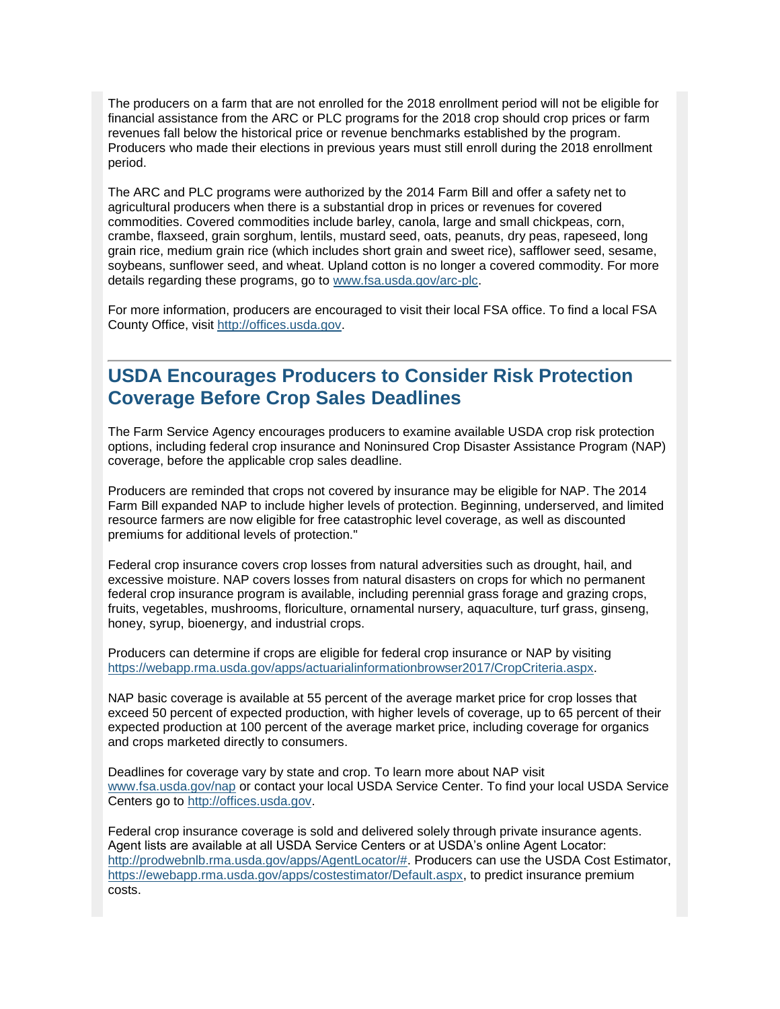The producers on a farm that are not enrolled for the 2018 enrollment period will not be eligible for financial assistance from the ARC or PLC programs for the 2018 crop should crop prices or farm revenues fall below the historical price or revenue benchmarks established by the program. Producers who made their elections in previous years must still enroll during the 2018 enrollment period.

The ARC and PLC programs were authorized by the 2014 Farm Bill and offer a safety net to agricultural producers when there is a substantial drop in prices or revenues for covered commodities. Covered commodities include barley, canola, large and small chickpeas, corn, crambe, flaxseed, grain sorghum, lentils, mustard seed, oats, peanuts, dry peas, rapeseed, long grain rice, medium grain rice (which includes short grain and sweet rice), safflower seed, sesame, soybeans, sunflower seed, and wheat. Upland cotton is no longer a covered commodity. For more details regarding these programs, go to [www.fsa.usda.gov/arc-plc.](http://www.fsa.usda.gov/arc-plc)

For more information, producers are encouraged to visit their local FSA office. To find a local FSA County Office, visit [http://offices.usda.gov.](http://offices.usda.gov/)

#### <span id="page-4-0"></span>**USDA Encourages Producers to Consider Risk Protection Coverage Before Crop Sales Deadlines**

The Farm Service Agency encourages producers to examine available USDA crop risk protection options, including federal crop insurance and Noninsured Crop Disaster Assistance Program (NAP) coverage, before the applicable crop sales deadline.

Producers are reminded that crops not covered by insurance may be eligible for NAP. The 2014 Farm Bill expanded NAP to include higher levels of protection. Beginning, underserved, and limited resource farmers are now eligible for free catastrophic level coverage, as well as discounted premiums for additional levels of protection."

Federal crop insurance covers crop losses from natural adversities such as drought, hail, and excessive moisture. NAP covers losses from natural disasters on crops for which no permanent federal crop insurance program is available, including perennial grass forage and grazing crops, fruits, vegetables, mushrooms, floriculture, ornamental nursery, aquaculture, turf grass, ginseng, honey, syrup, bioenergy, and industrial crops.

Producers can determine if crops are eligible for federal crop insurance or NAP by visiting [https://webapp.rma.usda.gov/apps/actuarialinformationbrowser2017/CropCriteria.aspx.](https://webapp.rma.usda.gov/apps/actuarialinformationbrowser2017/CropCriteria.aspx)

NAP basic coverage is available at 55 percent of the average market price for crop losses that exceed 50 percent of expected production, with higher levels of coverage, up to 65 percent of their expected production at 100 percent of the average market price, including coverage for organics and crops marketed directly to consumers.

Deadlines for coverage vary by state and crop. To learn more about NAP visit [www.fsa.usda.gov/nap](http://www.fsa.usda.gov/nap) or contact your local USDA Service Center. To find your local USDA Service Centers go to [http://offices.usda.gov.](http://offices.usda.gov/)

Federal crop insurance coverage is sold and delivered solely through private insurance agents. Agent lists are available at all USDA Service Centers or at USDA's online Agent Locator: [http://prodwebnlb.rma.usda.gov/apps/AgentLocator/#.](http://prodwebnlb.rma.usda.gov/apps/AgentLocator/) Producers can use the USDA Cost Estimator, [https://ewebapp.rma.usda.gov/apps/costestimator/Default.aspx,](https://ewebapp.rma.usda.gov/apps/costestimator/Default.aspx) to predict insurance premium costs.